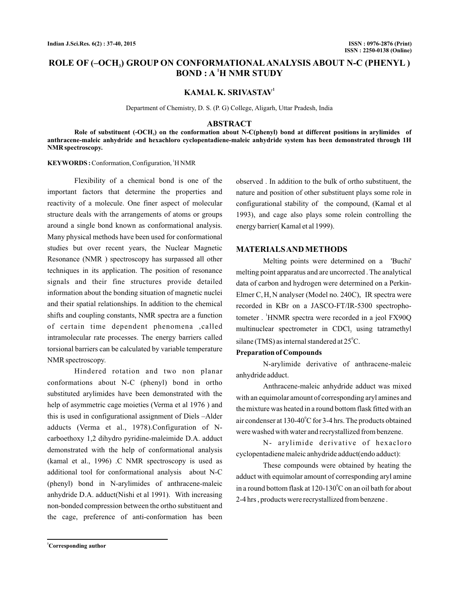# **ROLE OF (–OCH ) GROUP ON CONFORMATIONAL ANALYSIS ABOUT N-C (PHENYL ) 3**  $\mathbf{BOND : A}$ <sup>1</sup>H NMR STUDY

# **KAMAL K. SRIVASTAV<sup>1</sup>**

Department of Chemistry, D. S. (P. G) College, Aligarh, Uttar Pradesh, India

#### **ABSTRACT**

**Role of substituent (-OCH ) on the conformation about N-C(phenyl) bond at different positions in arylimides of 3 anthracene-maleic anhydride and hexachloro cyclopentadiene-maleic anhydride system has been demonstrated through 1H NMR spectroscopy.**

KEYWORDS: Conformation, Configuration, <sup>1</sup>H NMR

Flexibility of a chemical bond is one of the important factors that determine the properties and reactivity of a molecule. One finer aspect of molecular structure deals with the arrangements of atoms or groups around a single bond known as conformational analysis. Many physical methods have been used for conformational studies but over recent years, the Nuclear Magnetic Resonance (NMR ) spectroscopy has surpassed all other techniques in its application. The position of resonance signals and their fine structures provide detailed information about the bonding situation of magnetic nuclei and their spatial relationships. In addition to the chemical shifts and coupling constants, NMR spectra are a function of certain time dependent phenomena ,called intramolecular rate processes. The energy barriers called torsional barriers can be calculated by variable temperature NMR spectroscopy.

Hindered rotation and two non planar conformations about N-C (phenyl) bond in ortho substituted arylimides have been demonstrated with the help of asymmetric cage moieties (Verma et al 1976 ) and this is used in configurational assignment of Diels –Alder adducts (Verma et al., 1978).Configuration of Ncarboethoxy 1,2 dihydro pyridine-maleimide D.A. adduct demonstrated with the help of conformational analysis (kamal et al., 1996) .C NMR spectroscopy is used as additional tool for conformational analysis about N-C (phenyl) bond in N-arylimides of anthracene-maleic anhydride D.A. adduct(Nishi et al 1991). With increasing non-bonded compression between the ortho substituent and the cage, preference of anti-conformation has been

observed . In addition to the bulk of ortho substituent, the nature and position of other substituent plays some role in configurational stability of the compound, (Kamal et al 1993), and cage also plays some rolein controlling the energy barrier( Kamal et al 1999).

### **MATERIALSANDMETHODS**

Melting points were determined on a 'Buchi' melting point apparatus and are uncorrected . The analytical data of carbon and hydrogen were determined on a Perkin-Elmer C, H, N analyser (Model no. 240C), IR spectra were recorded in KBr on a JASCO-FT/IR-5300 spectrophotometer . <sup>1</sup>HNMR spectra were recorded in a jeol FX90Q multinuclear spectrometer in  $CDCl<sub>3</sub>$  using tatramethyl silane (TMS) as internal standered at 25 $^{\circ}$ C.

#### **Preparation of Compounds**

N-arylimide derivative of anthracene-maleic anhydride adduct.

Anthracene-maleic anhydride adduct was mixed with an equimolar amount of corresponding aryl amines and the mixture was heated in a round bottom flask fitted with an air condenser at 130-40 $\mathrm{^oC}$  for 3-4 hrs. The products obtained were washed with water and recrystallized from benzene.

N- arylimide derivative of hexacloro cyclopentadiene maleic anhydride adduct(endo adduct):

These compounds were obtained by heating the adduct with equimolar amount of corresponding aryl amine in a round bottom flask at 120-130 $^{\rm o}$ C on an oil bath for about 2-4 hrs , products were recrystallized from benzene .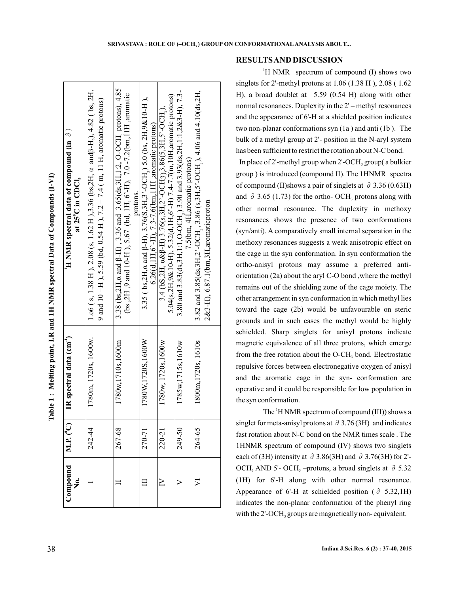| í<br>!<br>l   |  |
|---------------|--|
| l             |  |
| ֺ֚<br>י       |  |
| ļ<br>l        |  |
| <b>TRIMER</b> |  |
| ŗ             |  |
| ļ             |  |
|               |  |
| ſ             |  |

| Compound<br>.<br>Ž | $MLP$ , $(^{0}C)$ | IR spectral data (cm <sup>-1</sup> ) | H NMR spectral data of compound (in $\partial$ )<br>at 25°C in CDCl <sub>3</sub>                                                                                                 |
|--------------------|-------------------|--------------------------------------|----------------------------------------------------------------------------------------------------------------------------------------------------------------------------------|
|                    | 242-44            | 1780m, 1720s, 1600w.                 | 1.06 (s, 1.38 H), 2.08 (s, 1.62 H), 3.36 (bs, 2H, a and $\beta$ -H, $\lambda$ , 4.82 (bs, 2H,<br>9 and 10 –H , 5.59 (bd, 0.54 H ), 7.2 – 7.4 (m, 11 H, aromatic protons)         |
|                    | 267-68            | 1780w, 1710s, 1600m                  | 3.38 (bs, 2H, $\alpha$ and $\beta$ -H), 3.36 and 3.65(ds, 3H, 1:2, O-OCH, protons), 4.85<br>(bs , 2H , 9 and 10-H ), 5.67 (bd, 1H, 6'-H), 7.0-7.2(bm, 11H , aromatic<br>protons. |
|                    | 270-71            | 1780W.1720S.1600W                    | 3.35 (bs, 2H, a and $\beta$ -H), 3.76(S, 3H, 3'-OCH, ) 5.0 (bs, 2H, 9&10-H),<br>$6.26(d, 1H, 6' - H), 7.3 - 7.6(bm, 11H, aroundic protons)$                                      |
|                    | 220-21            | 1780w, 1720s, 1600w                  | 5.04(s,2H,9&10-H), 5.32(d,1H,6'-H) 7.4-7.7(m,10H,aromatic protons)<br>$3.4$ (bS,2H, $\alpha$ &B-H) 3.76(s,3H,2'-OCH3),3.86(5,3H,5'-OCH,),                                        |
|                    | 249-50            | 1785w, 1715s, 1610w                  | 3.80 and 3.83(ds, 3H, 1:1, O-OCH, ) 3.90 and 3.93(ds, 2H, 1:1, 2&3-H), 7.3-<br>7.5(bm, 4H, aromatic protons)                                                                     |
|                    | 264-65            | 1800m, 1720s, 1610s                  | 3.82 and 3.85(ds, 3H, 2' - OCH, , 3.86 (s, 3H, 5' - OCH, ), 4.06 and 4.10(ds, 2H,<br>2&3-H), 6.87.1(bm, 3H, aromatic proton                                                      |

**SRIVASTAVA : ROLE OF (–OCH3) GROUP ON CONFORMATIONAL ANALYSIS ABOUT...** 

**RESULTSAND DISCUSSION**

 $H$  NMR spectrum of compound (I) shows two singlets for 2'-methyl protons at 1.06 (1.38 H ), 2.08 ( 1.62 H), a broad doublet at 5.59 (0.54 H) along with other normal resonances. Duplexity in the 2' – methyl resonances and the appearance of 6'-H at a shielded position indicates two non-planar conformations syn (1a ) and anti (1b ). The bulk of a methyl group at 2'- position in the N-aryl system has been sufficient to restrict the rotation about N-C bond.

In place of 2'-methyl group when 2'-OCH, group( a bulkier group ) is introduced (compound II). The 1HNMR spectra of compound (II)shows a pair of singlets at  $\partial$  3.36 (0.63H) and  $\partial$  3.65 (1.73) for the ortho- OCH<sub>3</sub> protons along with other normal resonance. The duplexity in methoxy resonances shows the presence of two conformations (syn/anti). A comparatively small internal separation in the methoxy resonances suggests a weak anisotropic effect on the cage in the syn conformation. In syn conformation the ortho-anisyl protons may assume a preferred antiorientation (2a) about the aryl C-O bond ,where the methyl remains out of the shielding zone of the cage moiety. The other arrangement in syn conformation in which methyl lies toward the cage (2b) would be unfavourable on steric grounds and in such cases the methyl would be highly schielded. Sharp singlets for anisyl protons indicate magnetic equivalence of all three protons, which emerge from the free rotation about the  $O - CH<sub>3</sub>$  bond. Electrostatic repulsive forces between electronegative oxygen of anisyl and the aromatic cage in the syn- conformation are operative and it could be responsible for low population in the syn conformation.

The <sup>1</sup>H NMR spectrum of compound (III)) shows a singlet for meta-anisyl protons at  $\partial$  3.76 (3H) and indicates fast rotation about N-C bond on the NMR times scale . The 1HNMR spectrum of compound (IV) shows two singlets each of (3H) intensity at  $\partial$  3.86(3H) and  $\partial$  3.76(3H) for 2'-OCH<sub>3</sub> AND 5'- OCH<sub>3</sub> –protons, a broad singlets at  $\partial$  5.32 (1H) for 6'-H along with other normal resonance. Appearance of 6'-H at schielded position ( $\partial$  5.32,1H) indicates the non-planar conformation of the phenyl ring with the  $2$ <sup>-</sup>OCH<sub>3</sub> groups are magnetically non-equivalent.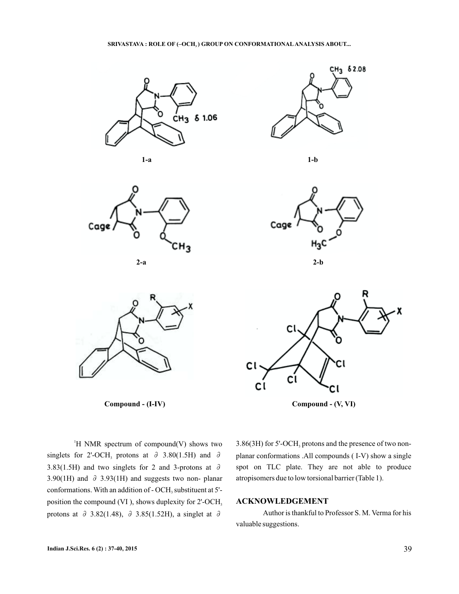





**Compound - (I-IV) Compound - (V, VI)**



**1-a 1-b**







 $H$  NMR spectrum of compound(V) shows two singlets for 2'-OCH<sub>3</sub> protons at  $\partial$  3.80(1.5H) and  $\partial$ 3.83(1.5H) and two singlets for 2 and 3-protons at  $\partial$ 3.90(1H) and  $\partial$  3.93(1H) and suggests two non-planar conformations. With an addition of  $\text{- OCH}_3$  substituent at 5'position the compound (VI ), shows duplexity for 2'-OCH 3 protons at  $\partial$  3.82(1.48),  $\partial$  3.85(1.52H), a singlet at  $\partial$ 

3.86(3H) for 5'-OCH<sub>3</sub> protons and the presence of two nonplanar conformations .All compounds ( I-V) show a single spot on TLC plate. They are not able to produce atropisomers due to low torsional barrier (Table 1).

# **ACKNOWLEDGEMENT**

Author is thankful to Professor S. M. Verma for his valuable suggestions.